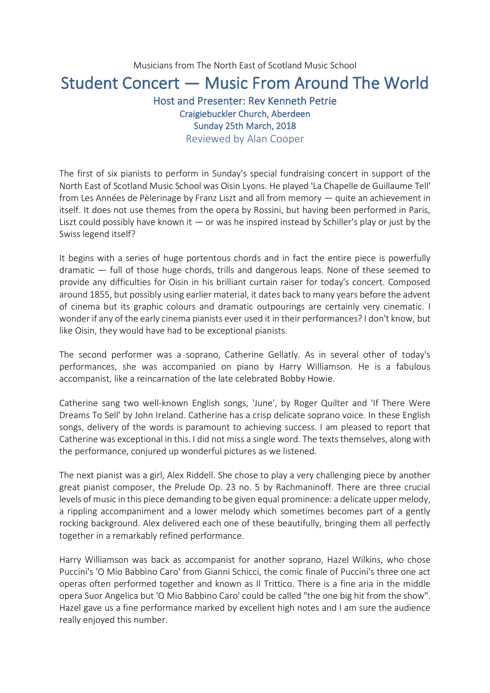Musicians from The North East of Scotland Music School

## Student Concert — Music From Around The World Host and Presenter: Rev Kenneth Petrie Craigiebuckler Church, Aberdeen Sunday 25th March, 2018

Reviewed by Alan Cooper

The first of six pianists to perform in Sunday's special fundraising concert in support of the North East of Scotland Music School was Oisin Lyons. He played 'La Chapelle de Guillaume Tell' from Les Années de Pèlerinage by Franz Liszt and all from memory — quite an achievement in itself. It does not use themes from the opera by Rossini, but having been performed in Paris, Liszt could possibly have known it  $-$  or was he inspired instead by Schiller's play or just by the Swiss legend itself?

It begins with a series of huge portentous chords and in fact the entire piece is powerfully dramatic — full of those huge chords, trills and dangerous leaps. None of these seemed to provide any difficulties for Oisin in his brilliant curtain raiser for today's concert. Composed around 1855, but possibly using earlier material, it dates back to many years before the advent of cinema but its graphic colours and dramatic outpourings are certainly very cinematic. I wonder if any of the early cinema pianists ever used it in their performances? I don't know, but like Oisin, they would have had to be exceptional pianists.

The second performer was a soprano, Catherine Gellatly. As in several other of today's performances, she was accompanied on piano by Harry Williamson. He is a fabulous accompanist, like a reincarnation of the late celebrated Bobby Howie.

Catherine sang two well-known English songs, 'June', by Roger Quilter and 'If There Were Dreams To Sell' by John Ireland. Catherine has a crisp delicate soprano voice. In these English songs, delivery of the words is paramount to achieving success. I am pleased to report that Catherine was exceptional in this. I did not miss a single word. The texts themselves, along with the performance, conjured up wonderful pictures as we listened.

The next pianist was a girl, Alex Riddell. She chose to play a very challenging piece by another great pianist composer, the Prelude Op. 23 no. 5 by Rachmaninoff. There are three crucial levels of music in this piece demanding to be given equal prominence: a delicate upper melody, a rippling accompaniment and a lower melody which sometimes becomes part of a gently rocking background. Alex delivered each one of these beautifully, bringing them all perfectly together in a remarkably refined performance.

Harry Williamson was back as accompanist for another soprano, Hazel Wilkins, who chose Puccini's 'O Mio Babbino Caro' from Gianni Schicci, the comic finale of Puccini's three one act operas often performed together and known as Il Trittico. There is a fine aria in the middle opera Suor Angelica but 'O Mio Babbino Caro' could be called "the one big hit from the show". Hazel gave us a fine performance marked by excellent high notes and I am sure the audience really enjoyed this number.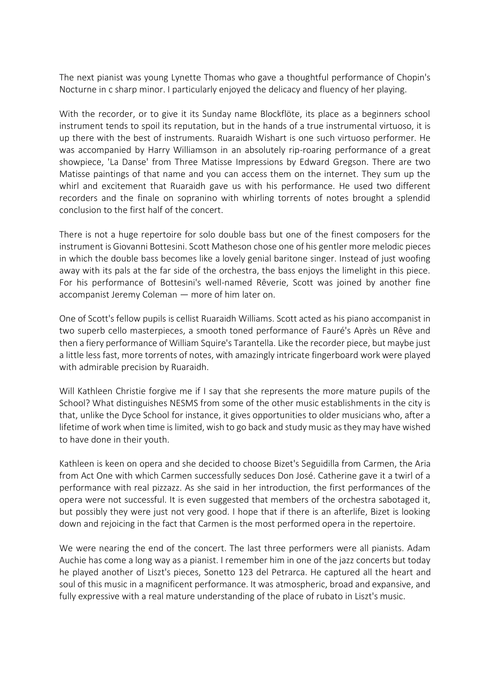The next pianist was young Lynette Thomas who gave a thoughtful performance of Chopin's Nocturne in c sharp minor. I particularly enjoyed the delicacy and fluency of her playing.

With the recorder, or to give it its Sunday name Blockflöte, its place as a beginners school instrument tends to spoil its reputation, but in the hands of a true instrumental virtuoso, it is up there with the best of instruments. Ruaraidh Wishart is one such virtuoso performer. He was accompanied by Harry Williamson in an absolutely rip-roaring performance of a great showpiece, 'La Danse' from Three Matisse Impressions by Edward Gregson. There are two Matisse paintings of that name and you can access them on the internet. They sum up the whirl and excitement that Ruaraidh gave us with his performance. He used two different recorders and the finale on sopranino with whirling torrents of notes brought a splendid conclusion to the first half of the concert.

There is not a huge repertoire for solo double bass but one of the finest composers for the instrument is Giovanni Bottesini. Scott Matheson chose one of his gentler more melodic pieces in which the double bass becomes like a lovely genial baritone singer. Instead of just woofing away with its pals at the far side of the orchestra, the bass enjoys the limelight in this piece. For his performance of Bottesini's well-named Rêverie, Scott was joined by another fine accompanist Jeremy Coleman — more of him later on.

One of Scott's fellow pupils is cellist Ruaraidh Williams. Scott acted as his piano accompanist in two superb cello masterpieces, a smooth toned performance of Fauré's Après un Rêve and then a fiery performance of William Squire's Tarantella. Like the recorder piece, but maybe just a little less fast, more torrents of notes, with amazingly intricate fingerboard work were played with admirable precision by Ruaraidh.

Will Kathleen Christie forgive me if I say that she represents the more mature pupils of the School? What distinguishes NESMS from some of the other music establishments in the city is that, unlike the Dyce School for instance, it gives opportunities to older musicians who, after a lifetime of work when time is limited, wish to go back and study music as they may have wished to have done in their youth.

Kathleen is keen on opera and she decided to choose Bizet's Seguidilla from Carmen, the Aria from Act One with which Carmen successfully seduces Don José. Catherine gave it a twirl of a performance with real pizzazz. As she said in her introduction, the first performances of the opera were not successful. It is even suggested that members of the orchestra sabotaged it, but possibly they were just not very good. I hope that if there is an afterlife, Bizet is looking down and rejoicing in the fact that Carmen is the most performed opera in the repertoire.

We were nearing the end of the concert. The last three performers were all pianists. Adam Auchie has come a long way as a pianist. I remember him in one of the jazz concerts but today he played another of Liszt's pieces, Sonetto 123 del Petrarca. He captured all the heart and soul of this music in a magnificent performance. It was atmospheric, broad and expansive, and fully expressive with a real mature understanding of the place of rubato in Liszt's music.